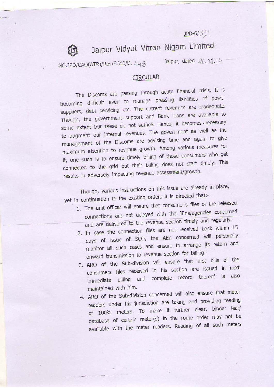$JPD-6/391$ 

## Jaipur Vidyut Vitran Nigam Limited

NO.JPD/CAO(ATR)/Rev/F.389/D. 448

to

Jaipur, dated 26.02.14

## CIRCULAR

The Discoms are passing through acute financial crisis. It is becoming difficult even to manage pressing liabilities of power suppliers, debt servicing etc. The current revenues are inadequate. Though, the government support and Bank loans are available to some extent but these do not suffice. Hence, it becomes necessary to augment our internal revenues. The government as well as the management of the Discoms are advising time and again to give maximum attention to revenue growth. Among various measures for it, one such is to ensure timely billing of those consumers who get connected to the grid but their billing does not start timely. This results in adversely impacting revenue assessment/growth.

Though, various instructions on this issue are already in place, yet in continuation to the existing orders it is directed that:-

- 1. The unit officer will ensure that consumer's files of the released connections are not delayed with the JEns/agencies concerned and are delivered to the revenue section timely and regularly.
- 2. In case the connection files are not received back within 15 days of issue of SCO, the AEn concerned will personally monitor all such cases and ensure to arrange its return and onward transmission to revenue section for billing.
- 3. ARO of the Sub-division will ensure that first bills of the consumers files received in his section are issued in next immediate billing and complete record thereof is also maintained with him.
- 4. ARO of the Sub-division concerned will also ensure that meter readers under his jurisdiction are taking and providing reading of 100% meters. To make it further clear, binder leaf/ database of certain meter(s) in the route order may not be available with the meter readers. Reading of all such meters